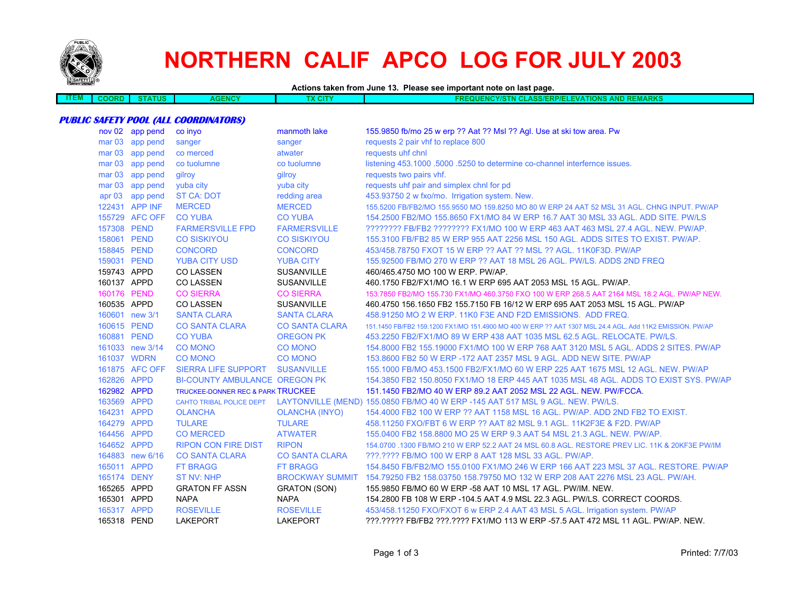

## **NORTHERN CALIF APCO LOG FOR JULY 2003**

## **Actions taken from June 13. Please see important note on last page.**

| EМ | ,,,,, | <b>TUS</b> | <b>ENCY</b><br><b>AGE</b> | 2000<br>GH. | <b>REMARKS</b><br><b>AND</b><br>NCYIS <sup>"</sup><br><b>IONS</b><br>LASS/ERP/ELEVAT<br>. |
|----|-------|------------|---------------------------|-------------|-------------------------------------------------------------------------------------------|
|    |       |            |                           |             |                                                                                           |

## **PUBLIC SAFETY POOL (ALL COORDINATORS)**

| nov 02 app pend | co inyo                                      | manmoth lake          | 155.9850 fb/mo 25 w erp ?? Aat ?? Msl ?? Agl. Use at ski tow area. Pw                                    |
|-----------------|----------------------------------------------|-----------------------|----------------------------------------------------------------------------------------------------------|
| mar 03 app pend | sanger                                       | sanger                | requests 2 pair vhf to replace 800                                                                       |
| mar 03 app pend | co merced                                    | atwater               | requests uhf chnl                                                                                        |
| mar 03 app pend | co tuolumne                                  | co tuolumne           | listening 453.1000 .5000 .5250 to determine co-channel interfernce issues.                               |
| mar 03 app pend | gilroy                                       | gilroy                | requests two pairs vhf.                                                                                  |
| mar 03 app pend | yuba city                                    | yuba city             | requests uhf pair and simplex chnl for pd                                                                |
| apr 03 app pend | <b>ST CA: DOT</b>                            | redding area          | 453.93750 2 w fxo/mo. Irrigation system. New.                                                            |
| 122431 APP INF  | <b>MERCED</b>                                | <b>MERCED</b>         | 155,5200 FB/FB2/MO 155,9550 MO 159,8250 MO 80 W ERP 24 AAT 52 MSL 31 AGL. CHNG INPUT, PW/AP              |
| 155729 AFC OFF  | <b>CO YUBA</b>                               | <b>CO YUBA</b>        | 154,2500 FB2/MO 155,8650 FX1/MO 84 W ERP 16.7 AAT 30 MSL 33 AGL, ADD SITE, PW/LS                         |
| 157308 PEND     | <b>FARMERSVILLE FPD</b>                      | <b>FARMERSVILLE</b>   | ???????? FB/FB2 ???????? FX1/MO 100 W ERP 463 AAT 463 MSL 27.4 AGL. NEW. PW/AP.                          |
| 158061 PEND     | <b>CO SISKIYOU</b>                           | <b>CO SISKIYOU</b>    | 155,3100 FB/FB2 85 W ERP 955 AAT 2256 MSL 150 AGL, ADDS SITES TO EXIST, PW/AP,                           |
| 158845 PEND     | <b>CONCORD</b>                               | <b>CONCORD</b>        | 453/458.78750 FXOT 15 W ERP ?? AAT ?? MSL ?? AGL, 11K0F3D, PW/AP                                         |
| 159031 PEND     | <b>YUBA CITY USD</b>                         | <b>YUBA CITY</b>      | 155,92500 FB/MO 270 W ERP ?? AAT 18 MSL 26 AGL, PW/LS, ADDS 2ND FREQ                                     |
| 159743 APPD     | <b>CO LASSEN</b>                             | <b>SUSANVILLE</b>     | 460/465.4750 MO 100 W ERP. PW/AP.                                                                        |
| 160137 APPD     | <b>CO LASSEN</b>                             | <b>SUSANVILLE</b>     | 460.1750 FB2/FX1/MO 16.1 W ERP 695 AAT 2053 MSL 15 AGL. PW/AP.                                           |
| 160176 PEND     | <b>CO SIERRA</b>                             | <b>CO SIERRA</b>      | 153.7850 FB2/MO 155.730 FX1/MO 460.3750 FXO 100 W ERP 268.5 AAT 2164 MSL 18.2 AGL. PW/AP NEW.            |
| 160535 APPD     | <b>CO LASSEN</b>                             | <b>SUSANVILLE</b>     | 460.4750 156.1650 FB2 155.7150 FB 16/12 W ERP 695 AAT 2053 MSL 15 AGL, PW/AP                             |
| 160601 new 3/1  | <b>SANTA CLARA</b>                           | <b>SANTA CLARA</b>    | 458,91250 MO 2 W ERP, 11K0 F3E AND F2D EMISSIONS. ADD FREQ.                                              |
| 160615 PEND     | <b>CO SANTA CLARA</b>                        | <b>CO SANTA CLARA</b> | 151.1450 FB/FB2 159.1200 FX1/MO 151.4900 MO 400 W ERP ?? AAT 1307 MSL 24.4 AGL, Add 11K2 EMISSION, PW/AP |
| 160881 PEND     | <b>CO YUBA</b>                               | <b>OREGON PK</b>      | 453.2250 FB2/FX1/MO 89 W ERP 438 AAT 1035 MSL 62.5 AGL. RELOCATE, PW/LS.                                 |
| 161033 new 3/14 | <b>CO MONO</b>                               | <b>CO MONO</b>        | 154.8000 FB2 155.19000 FX1/MO 100 W ERP 768 AAT 3120 MSL 5 AGL. ADDS 2 SITES. PW/AP                      |
| 161037 WDRN     | <b>CO MONO</b>                               | <b>CO MONO</b>        | 153,8600 FB2 50 W ERP -172 AAT 2357 MSL 9 AGL, ADD NEW SITE, PW/AP                                       |
| 161875 AFC OFF  | <b>SIERRA LIFE SUPPORT</b>                   | <b>SUSANVILLE</b>     | 155,1000 FB/MO 453,1500 FB2/FX1/MO 60 W ERP 225 AAT 1675 MSL 12 AGL, NEW, PW/AP                          |
| 162826 APPD     | <b>BI-COUNTY AMBULANCE OREGON PK</b>         |                       | 154,3850 FB2 150,8050 FX1/MO 18 ERP 445 AAT 1035 MSL 48 AGL. ADDS TO EXIST SYS, PW/AP                    |
| 162982 APPD     | <b>TRUCKEE-DONNER REC &amp; PARK TRUCKEE</b> |                       | 151.1450 FB2/MO 40 W ERP 89.2 AAT 2052 MSL 22 AGL. NEW. PW/FCCA.                                         |
| 163569 APPD     |                                              |                       | CAHTO TRIBAL POLICE DEPT LAYTONVILLE (MEND) 155.0850 FB/MO 40 W ERP -145 AAT 517 MSL 9 AGL. NEW. PW/LS.  |
| 164231 APPD     | <b>OLANCHA</b>                               | <b>OLANCHA (INYO)</b> | 154.4000 FB2 100 W ERP ?? AAT 1158 MSL 16 AGL. PW/AP. ADD 2ND FB2 TO EXIST.                              |
| 164279 APPD     | <b>TULARE</b>                                | <b>TULARE</b>         | 458.11250 FXO/FBT 6 W ERP ?? AAT 82 MSL 9.1 AGL, 11K2F3E & F2D, PW/AP                                    |
| 164456 APPD     | <b>CO MERCED</b>                             | <b>ATWATER</b>        | 155,0400 FB2 158,8800 MO 25 W ERP 9.3 AAT 54 MSL 21.3 AGL, NEW, PW/AP.                                   |
| 164652 APPD     | <b>RIPON CON FIRE DIST</b>                   | <b>RIPON</b>          | 154.0700 .1300 FB/MO 210 W ERP 52.2 AAT 24 MSL 60.8 AGL. RESTORE PREV LIC. 11K & 20KF3E PW/IM            |
| 164883 new 6/16 | <b>CO SANTA CLARA</b>                        | <b>CO SANTA CLARA</b> | ???.???? FB/MO 100 W ERP 8 AAT 128 MSL 33 AGL. PW/AP.                                                    |
| 165011 APPD     | <b>FT BRAGG</b>                              | <b>FT BRAGG</b>       | 154.8450 FB/FB2/MO 155.0100 FX1/MO 246 W ERP 166 AAT 223 MSL 37 AGL, RESTORE, PW/AP                      |
| 165174 DENY     | <b>ST NV: NHP</b>                            |                       | BROCKWAY SUMMIT 154.79250 FB2 158.03750 158.79750 MO 132 W ERP 208 AAT 2276 MSL 23 AGL, PW/AH.           |
| 165265 APPD     | <b>GRATON FF ASSN</b>                        | <b>GRATON (SON)</b>   | 155,9850 FB/MO 60 W ERP -58 AAT 10 MSL 17 AGL, PW/IM, NEW.                                               |
| 165301 APPD     | <b>NAPA</b>                                  | <b>NAPA</b>           | 154.2800 FB 108 W ERP -104.5 AAT 4.9 MSL 22.3 AGL. PW/LS. CORRECT COORDS.                                |
| 165317 APPD     | <b>ROSEVILLE</b>                             | <b>ROSEVILLE</b>      | 453/458.11250 FXO/FXOT 6 w ERP 2.4 AAT 43 MSL 5 AGL. Irrigation system. PW/AP                            |
| 165318 PEND     | <b>LAKEPORT</b>                              | <b>LAKEPORT</b>       | ???.????? FB/FB2 ???.???? FX1/MO 113 W ERP -57.5 AAT 472 MSL 11 AGL. PW/AP. NEW.                         |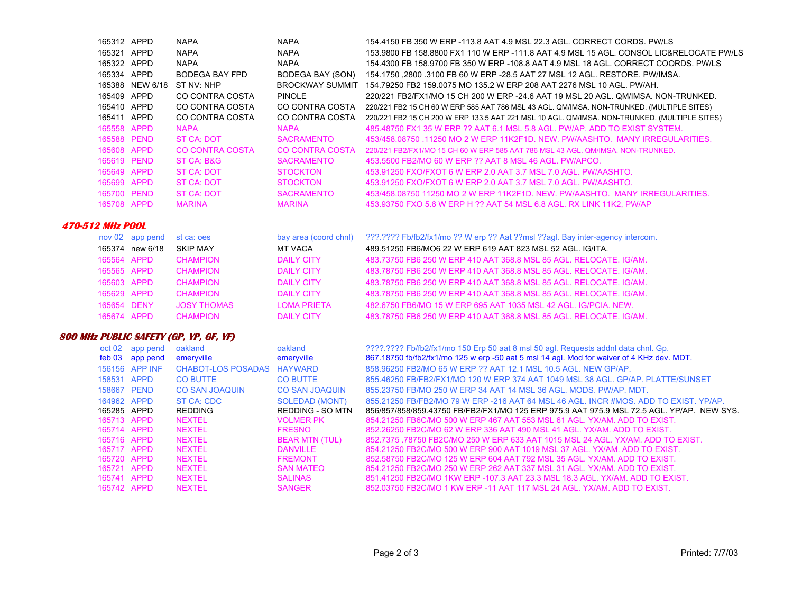|                         | 165312 APPD     | <b>NAPA</b>            | <b>NAPA</b>            | 154 4150 FB 350 W ERP -113.8 AAT 4.9 MSL 22.3 AGL, CORRECT CORDS, PW/LS                      |
|-------------------------|-----------------|------------------------|------------------------|----------------------------------------------------------------------------------------------|
|                         | 165321 APPD     | <b>NAPA</b>            | <b>NAPA</b>            | 153,9800 FB 158,8800 FX1 110 W ERP -111.8 AAT 4.9 MSL 15 AGL, CONSOL LIC&RELOCATE PW/LS      |
|                         | 165322 APPD     | <b>NAPA</b>            | <b>NAPA</b>            | 154,4300 FB 158,9700 FB 350 W ERP -108.8 AAT 4.9 MSL 18 AGL. CORRECT COORDS, PW/LS           |
|                         | 165334 APPD     | <b>BODEGA BAY FPD</b>  | BODEGA BAY (SON)       | 154.1750 .2800 .3100 FB 60 W ERP -28.5 AAT 27 MSL 12 AGL. RESTORE. PW/IMSA.                  |
|                         | 165388 NEW 6/18 | ST NV: NHP             |                        | BROCKWAY SUMMIT 154.79250 FB2 159.0075 MO 135.2 W ERP 208 AAT 2276 MSL 10 AGL. PW/AH.        |
|                         | 165409 APPD     | CO CONTRA COSTA        | <b>PINOLE</b>          | 220/221 FB2/FX1/MO 15 CH 200 W ERP -24.6 AAT 19 MSL 20 AGL, QM/IMSA, NON-TRUNKED.            |
|                         | 165410 APPD     | CO CONTRA COSTA        | CO CONTRA COSTA        | 220/221 FB2 15 CH 60 W ERP 585 AAT 786 MSL 43 AGL. QM/IMSA. NON-TRUNKED. (MULTIPLE SITES)    |
|                         | 165411 APPD     | CO CONTRA COSTA        | CO CONTRA COSTA        | 220/221 FB2 15 CH 200 W ERP 133.5 AAT 221 MSL 10 AGL. QM/IMSA. NON-TRUNKED. (MULTIPLE SITES) |
|                         | 165558 APPD     | <b>NAPA</b>            | <b>NAPA</b>            | 485 48750 FX1 35 W FRP 22 AAT 6 1 MSL 5 8 AGL. PW/AP ADD TO EXIST SYSTEM                     |
|                         | 165588 PEND     | ST CA: DOT             | <b>SACRAMENTO</b>      | 453/458.08750 .11250 MO 2 W ERP 11K2F1D. NEW. PW/AASHTO. MANY IRREGULARITIES.                |
|                         | 165608 APPD     | <b>CO CONTRA COSTA</b> | <b>CO CONTRA COSTA</b> | 220/221 FB2/FX1/MO 15 CH 60 W ERP 585 AAT 786 MSL 43 AGL, QM/IMSA, NON-TRUNKED.              |
|                         | 165619 PEND     | ST CA: B&G             | <b>SACRAMENTO</b>      | 453,5500 FB2/MO 60 W ERP ?? AAT 8 MSL 46 AGL, PW/APCO.                                       |
|                         | 165649 APPD     | <b>ST CA: DOT</b>      | <b>STOCKTON</b>        | 453.91250 FXO/FXOT 6 W ERP 2.0 AAT 3.7 MSL 7.0 AGL, PW/AASHTO.                               |
|                         | 165699 APPD     | ST CA: DOT             | <b>STOCKTON</b>        | 453.91250 FXO/FXOT 6 W ERP 2.0 AAT 3.7 MSL 7.0 AGL, PW/AASHTO.                               |
|                         | 165700 PEND     | ST CA: DOT             | <b>SACRAMENTO</b>      | 453/458.08750 11250 MO 2 W ERP 11K2F1D. NEW. PW/AASHTO. MANY IRREGULARITIES.                 |
|                         | 165708 APPD     | <b>MARINA</b>          | <b>MARINA</b>          | 453.93750 FXO 5.6 W ERP H ?? AAT 54 MSL 6.8 AGL, RX LINK 11K2, PW/AP                         |
| <b>470-512 MHz POOL</b> |                 |                        |                        |                                                                                              |
|                         | nov 02 app pend | st ca: oes             | bay area (coord chnl)  | ???.???? Fb/fb2/fx1/mo ?? W erp ?? Aat ??msl ??agl. Bay inter-agency intercom.               |
|                         | 165374 new 6/18 | <b>SKIP MAY</b>        | MT VACA                | 489.51250 FB6/MO6 22 W ERP 619 AAT 823 MSL 52 AGL, IG/ITA.                                   |
|                         | 165564 APPD     | <b>CHAMPION</b>        | <b>DAILY CITY</b>      | 483.73750 FB6 250 W ERP 410 AAT 368.8 MSL 85 AGL, RELOCATE, IG/AM.                           |
|                         | 165565 APPD     | <b>CHAMPION</b>        | <b>DAILY CITY</b>      | 483.78750 FB6 250 W ERP 410 AAT 368.8 MSL 85 AGL, RELOCATE, IG/AM.                           |
|                         | 165603 APPD     | <b>CHAMPION</b>        | <b>DAILY CITY</b>      | 483.78750 FB6 250 W ERP 410 AAT 368.8 MSL 85 AGL. RELOCATE, IG/AM.                           |
|                         | 165629 APPD     | <b>CHAMPION</b>        | <b>DAILY CITY</b>      | 483.78750 FB6 250 W ERP 410 AAT 368.8 MSL 85 AGL. RELOCATE, IG/AM.                           |
|                         | 165654 DENY     | <b>JOSY THOMAS</b>     | <b>LOMA PRIETA</b>     | 482.6750 FB6/MO 15 W ERP 695 AAT 1035 MSL 42 AGL, IG/PCIA, NEW.                              |
|                         | 165674 APPD     | <b>CHAMPION</b>        | <b>DAILY CITY</b>      | 483.78750 FB6 250 W ERP 410 AAT 368.8 MSL 85 AGL. RELOCATE, IG/AM.                           |

## **800 MHz PUBLIC SAFETY (GP, YP, GF, YF)**

| oct 02      | app pend       | oakland                   | oakland               | ????.???? Fb/fb2/fx1/mo 150 Erp 50 aat 8 msl 50 agl. Requests addnl data chnl. Gp.        |
|-------------|----------------|---------------------------|-----------------------|-------------------------------------------------------------------------------------------|
| feb 03      | app pend       | emeryville                | emeryville            | 867.18750 fb/fb2/fx1/mo 125 w erp -50 aat 5 msl 14 agl. Mod for waiver of 4 KHz dev. MDT. |
|             | 156156 APP INF | <b>CHABOT-LOS POSADAS</b> | <b>HAYWARD</b>        | 858,96250 FB2/MO 65 W ERP ?? AAT 12.1 MSL 10.5 AGL, NEW GP/AP.                            |
| 158531 APPD |                | <b>CO BUTTE</b>           | <b>CO BUTTE</b>       | 855.46250 FB/FB2/FX1/MO 120 W ERP 374 AAT 1049 MSL 38 AGL, GP/AP, PLATTE/SUNSET           |
| 158667 PEND |                | <b>CO SAN JOAQUIN</b>     | <b>CO SAN JOAQUIN</b> | 855,23750 FB/MO 250 W ERP 34 AAT 14 MSL 36 AGL, MODS, PW/AP, MDT,                         |
| 164962 APPD |                | ST CA: CDC                | SOLEDAD (MONT)        | 855.21250 FB/FB2/MO 79 W ERP -216 AAT 64 MSL 46 AGL. INCR #MOS, ADD TO EXIST, YP/AP,      |
| 165285 APPD |                | REDDING                   | REDDING - SO MTN      | 856/857/858/859.43750 FB/FB2/FX1/MO 125 ERP 975.9 AAT 975.9 MSL 72.5 AGL, YP/AP, NEW SYS. |
| 165713 APPD |                | <b>NEXTEL</b>             | <b>VOLMER PK</b>      | 854.21250 FB6C/MO 500 W ERP 467 AAT 553 MSL 61 AGL, YX/AM, ADD TO EXIST.                  |
| 165714 APPD |                | <b>NEXTEL</b>             | <b>FRESNO</b>         | 852.26250 FB2C/MO 62 W ERP 336 AAT 490 MSL 41 AGL, YX/AM, ADD TO EXIST,                   |
| 165716 APPD |                | <b>NEXTEL</b>             | <b>BEAR MTN (TUL)</b> | 852.7375 .78750 FB2C/MO 250 W ERP 633 AAT 1015 MSL 24 AGL. YX/AM, ADD TO EXIST.           |
| 165717 APPD |                | <b>NEXTEL</b>             | <b>DANVILLE</b>       | 854.21250 FB2C/MO 500 W ERP 900 AAT 1019 MSL 37 AGL, YX/AM, ADD TO EXIST.                 |
| 165720 APPD |                | <b>NEXTEL</b>             | <b>FREMONT</b>        | 852,58750 FB2C/MO 125 W ERP 604 AAT 792 MSL 35 AGL, YX/AM, ADD TO EXIST.                  |
| 165721 APPD |                | <b>NEXTEL</b>             | <b>SAN MATEO</b>      | 854.21250 FB2C/MO 250 W ERP 262 AAT 337 MSL 31 AGL, YX/AM, ADD TO EXIST.                  |
| 165741 APPD |                | <b>NEXTEL</b>             | <b>SAI INAS</b>       | 851 41250 FB2C/MO 1KW ERP -107.3 AAT 23.3 MSL 18.3 AGL, YX/AM, ADD TO EXIST.              |
| 165742 APPD |                | <b>NEXTEL</b>             | <b>SANGER</b>         | 852.03750 FB2C/MO 1 KW ERP -11 AAT 117 MSL 24 AGL, YX/AM, ADD TO EXIST.                   |
|             |                |                           |                       |                                                                                           |